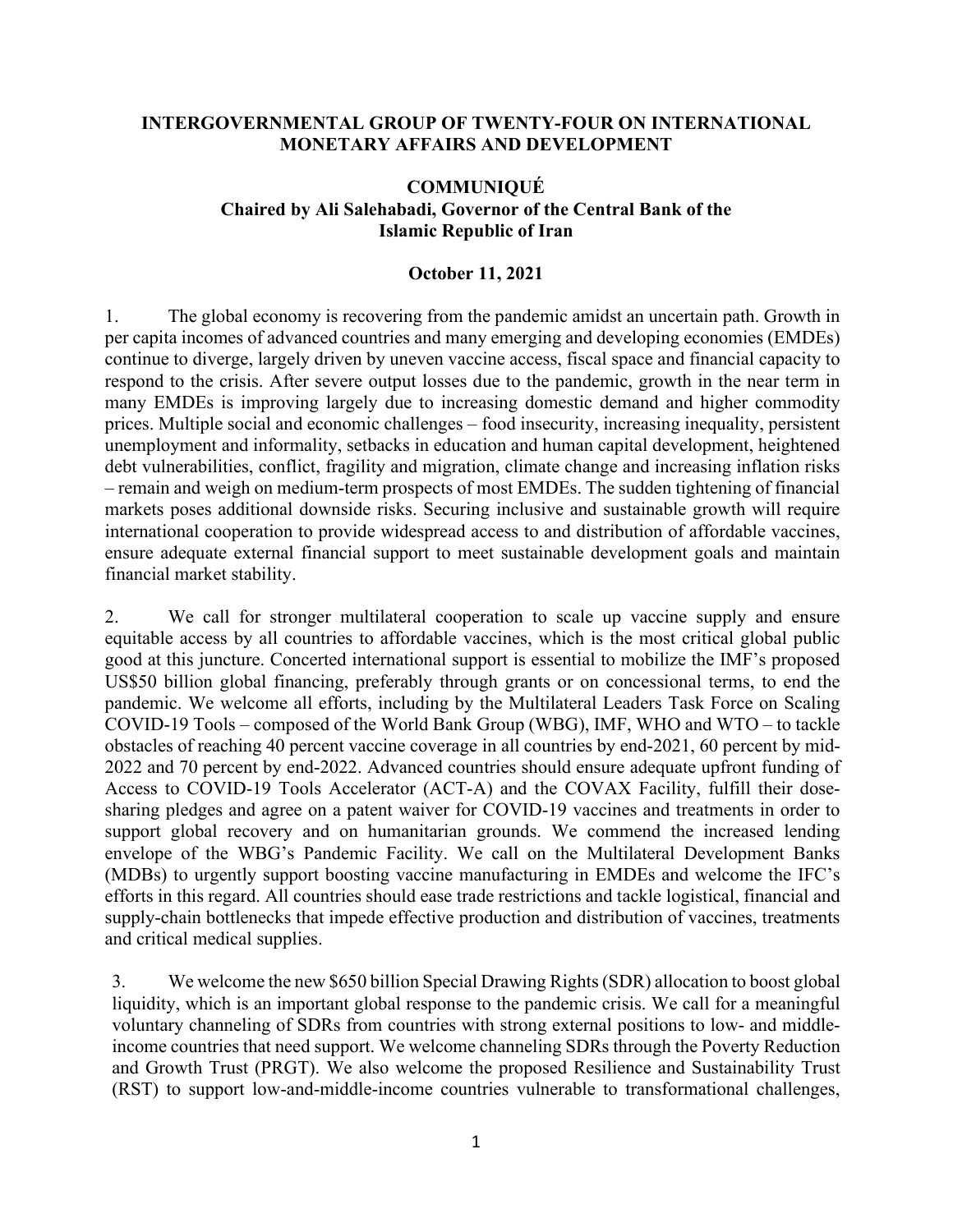## **INTERGOVERNMENTAL GROUP OF TWENTY-FOUR ON INTERNATIONAL MONETARY AFFAIRS AND DEVELOPMENT**

## **COMMUNIQUÉ Chaired by Ali Salehabadi, Governor of the Central Bank of the Islamic Republic of Iran**

## **October 11, 2021**

1. The global economy is recovering from the pandemic amidst an uncertain path. Growth in per capita incomes of advanced countries and many emerging and developing economies (EMDEs) continue to diverge, largely driven by uneven vaccine access, fiscal space and financial capacity to respond to the crisis. After severe output losses due to the pandemic, growth in the near term in many EMDEs is improving largely due to increasing domestic demand and higher commodity prices. Multiple social and economic challenges – food insecurity, increasing inequality, persistent unemployment and informality, setbacks in education and human capital development, heightened debt vulnerabilities, conflict, fragility and migration, climate change and increasing inflation risks – remain and weigh on medium-term prospects of most EMDEs. The sudden tightening of financial markets poses additional downside risks. Securing inclusive and sustainable growth will require international cooperation to provide widespread access to and distribution of affordable vaccines, ensure adequate external financial support to meet sustainable development goals and maintain financial market stability.

2. We call for stronger multilateral cooperation to scale up vaccine supply and ensure equitable access by all countries to affordable vaccines, which is the most critical global public good at this juncture. Concerted international support is essential to mobilize the IMF's proposed US\$50 billion global financing, preferably through grants or on concessional terms, to end the pandemic. We welcome all efforts, including by the Multilateral Leaders Task Force on Scaling COVID-19 Tools – composed of the World Bank Group (WBG), IMF, WHO and WTO – to tackle obstacles of reaching 40 percent vaccine coverage in all countries by end-2021, 60 percent by mid-2022 and 70 percent by end-2022. Advanced countries should ensure adequate upfront funding of Access to COVID-19 Tools Accelerator (ACT-A) and the COVAX Facility, fulfill their dosesharing pledges and agree on a patent waiver for COVID-19 vaccines and treatments in order to support global recovery and on humanitarian grounds. We commend the increased lending envelope of the WBG's Pandemic Facility. We call on the Multilateral Development Banks (MDBs) to urgently support boosting vaccine manufacturing in EMDEs and welcome the IFC's efforts in this regard. All countries should ease trade restrictions and tackle logistical, financial and supply-chain bottlenecks that impede effective production and distribution of vaccines, treatments and critical medical supplies.

3. We welcome the new \$650 billion Special Drawing Rights (SDR) allocation to boost global liquidity, which is an important global response to the pandemic crisis. We call for a meaningful voluntary channeling of SDRs from countries with strong external positions to low- and middleincome countries that need support. We welcome channeling SDRs through the Poverty Reduction and Growth Trust (PRGT). We also welcome the proposed Resilience and Sustainability Trust (RST) to support low-and-middle-income countries vulnerable to transformational challenges,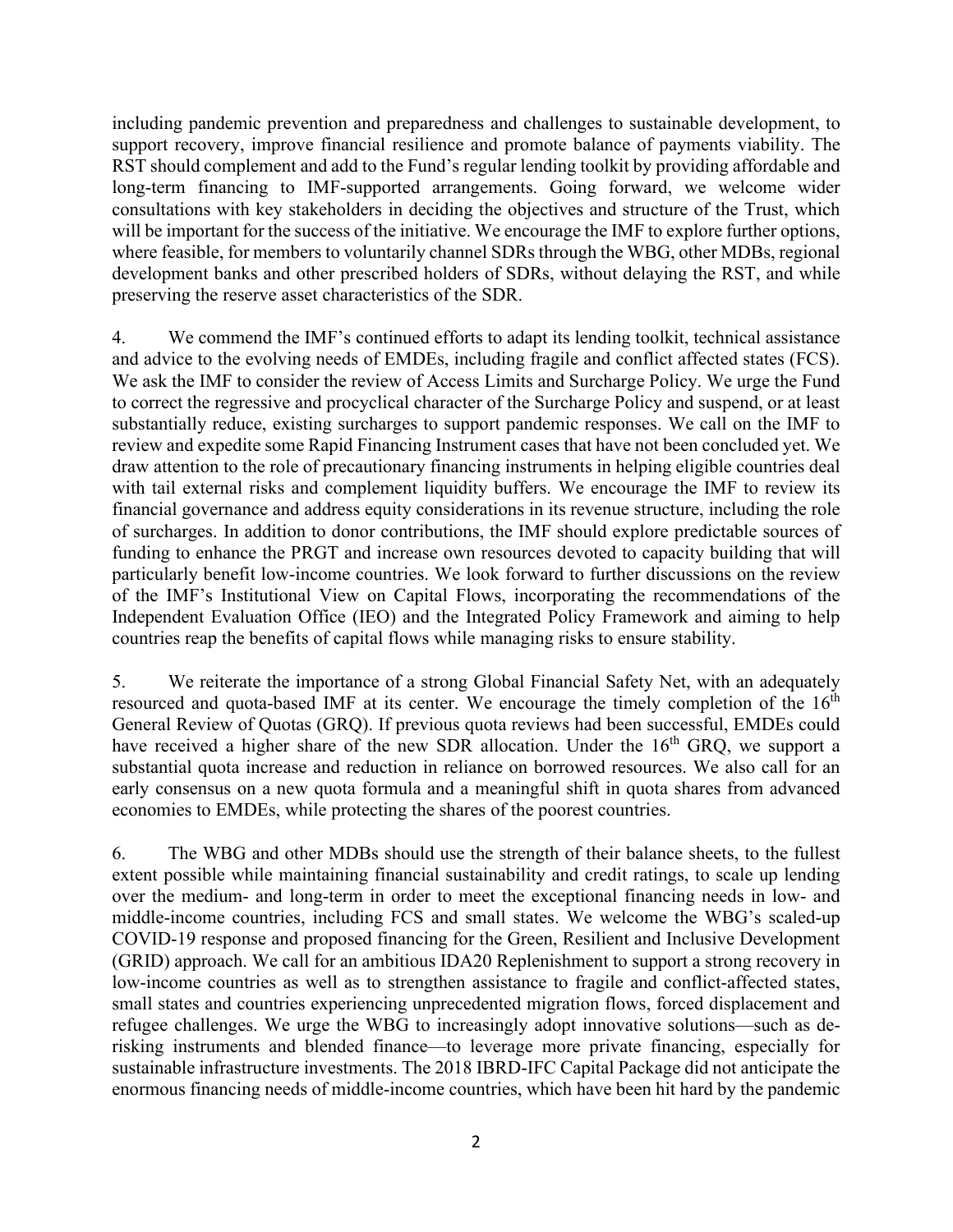including pandemic prevention and preparedness and challenges to sustainable development, to support recovery, improve financial resilience and promote balance of payments viability. The RST should complement and add to the Fund's regular lending toolkit by providing affordable and long-term financing to IMF-supported arrangements. Going forward, we welcome wider consultations with key stakeholders in deciding the objectives and structure of the Trust, which will be important for the success of the initiative. We encourage the IMF to explore further options, where feasible, for members to voluntarily channel SDRs through the WBG, other MDBs, regional development banks and other prescribed holders of SDRs, without delaying the RST, and while preserving the reserve asset characteristics of the SDR.

4. We commend the IMF's continued efforts to adapt its lending toolkit, technical assistance and advice to the evolving needs of EMDEs, including fragile and conflict affected states (FCS). We ask the IMF to consider the review of Access Limits and Surcharge Policy. We urge the Fund to correct the regressive and procyclical character of the Surcharge Policy and suspend, or at least substantially reduce, existing surcharges to support pandemic responses. We call on the IMF to review and expedite some Rapid Financing Instrument cases that have not been concluded yet. We draw attention to the role of precautionary financing instruments in helping eligible countries deal with tail external risks and complement liquidity buffers. We encourage the IMF to review its financial governance and address equity considerations in its revenue structure, including the role of surcharges. In addition to donor contributions, the IMF should explore predictable sources of funding to enhance the PRGT and increase own resources devoted to capacity building that will particularly benefit low-income countries. We look forward to further discussions on the review of the IMF's Institutional View on Capital Flows, incorporating the recommendations of the Independent Evaluation Office (IEO) and the Integrated Policy Framework and aiming to help countries reap the benefits of capital flows while managing risks to ensure stability.

5. We reiterate the importance of a strong Global Financial Safety Net, with an adequately resourced and quota-based IMF at its center. We encourage the timely completion of the  $16<sup>th</sup>$ General Review of Quotas (GRQ). If previous quota reviews had been successful, EMDEs could have received a higher share of the new SDR allocation. Under the 16<sup>th</sup> GRO, we support a substantial quota increase and reduction in reliance on borrowed resources. We also call for an early consensus on a new quota formula and a meaningful shift in quota shares from advanced economies to EMDEs, while protecting the shares of the poorest countries.

6. The WBG and other MDBs should use the strength of their balance sheets, to the fullest extent possible while maintaining financial sustainability and credit ratings, to scale up lending over the medium- and long-term in order to meet the exceptional financing needs in low- and middle-income countries, including FCS and small states. We welcome the WBG's scaled-up COVID-19 response and proposed financing for the Green, Resilient and Inclusive Development (GRID) approach. We call for an ambitious IDA20 Replenishment to support a strong recovery in low-income countries as well as to strengthen assistance to fragile and conflict-affected states, small states and countries experiencing unprecedented migration flows, forced displacement and refugee challenges. We urge the WBG to increasingly adopt innovative solutions—such as derisking instruments and blended finance—to leverage more private financing, especially for sustainable infrastructure investments. The 2018 IBRD-IFC Capital Package did not anticipate the enormous financing needs of middle-income countries, which have been hit hard by the pandemic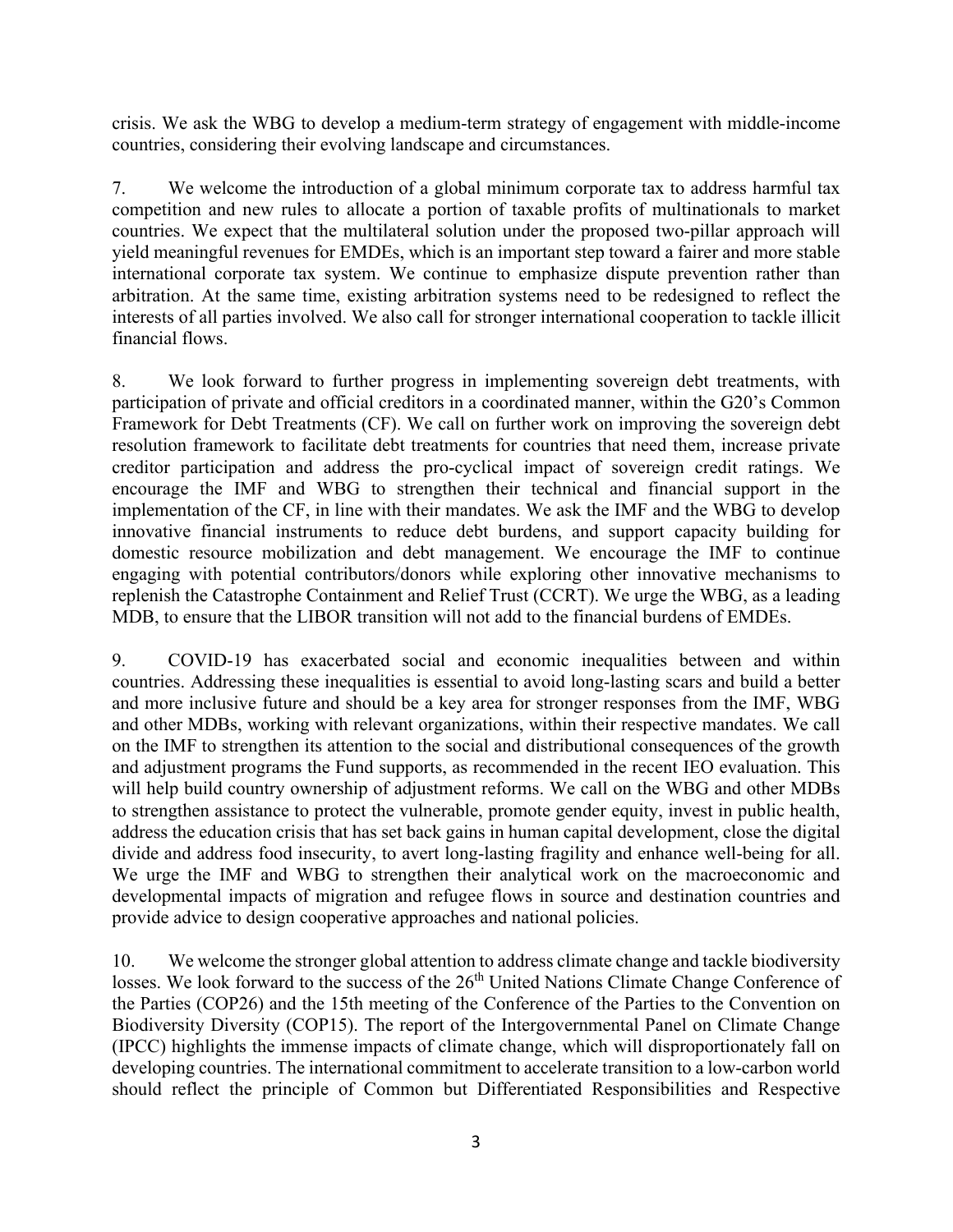crisis. We ask the WBG to develop a medium-term strategy of engagement with middle-income countries, considering their evolving landscape and circumstances.

7. We welcome the introduction of a global minimum corporate tax to address harmful tax competition and new rules to allocate a portion of taxable profits of multinationals to market countries. We expect that the multilateral solution under the proposed two-pillar approach will yield meaningful revenues for EMDEs, which is an important step toward a fairer and more stable international corporate tax system. We continue to emphasize dispute prevention rather than arbitration. At the same time, existing arbitration systems need to be redesigned to reflect the interests of all parties involved. We also call for stronger international cooperation to tackle illicit financial flows.

8. We look forward to further progress in implementing sovereign debt treatments, with participation of private and official creditors in a coordinated manner, within the G20's Common Framework for Debt Treatments (CF). We call on further work on improving the sovereign debt resolution framework to facilitate debt treatments for countries that need them, increase private creditor participation and address the pro-cyclical impact of sovereign credit ratings. We encourage the IMF and WBG to strengthen their technical and financial support in the implementation of the CF, in line with their mandates. We ask the IMF and the WBG to develop innovative financial instruments to reduce debt burdens, and support capacity building for domestic resource mobilization and debt management. We encourage the IMF to continue engaging with potential contributors/donors while exploring other innovative mechanisms to replenish the Catastrophe Containment and Relief Trust (CCRT). We urge the WBG, as a leading MDB, to ensure that the LIBOR transition will not add to the financial burdens of EMDEs.

9. COVID-19 has exacerbated social and economic inequalities between and within countries. Addressing these inequalities is essential to avoid long-lasting scars and build a better and more inclusive future and should be a key area for stronger responses from the IMF, WBG and other MDBs, working with relevant organizations, within their respective mandates. We call on the IMF to strengthen its attention to the social and distributional consequences of the growth and adjustment programs the Fund supports, as recommended in the recent IEO evaluation. This will help build country ownership of adjustment reforms. We call on the WBG and other MDBs to strengthen assistance to protect the vulnerable, promote gender equity, invest in public health, address the education crisis that has set back gains in human capital development, close the digital divide and address food insecurity, to avert long-lasting fragility and enhance well-being for all. We urge the IMF and WBG to strengthen their analytical work on the macroeconomic and developmental impacts of migration and refugee flows in source and destination countries and provide advice to design cooperative approaches and national policies.

10. We welcome the stronger global attention to address climate change and tackle biodiversity losses. We look forward to the success of the 26<sup>th</sup> United Nations Climate Change Conference of the Parties (COP26) and the 15th meeting of the Conference of the Parties to the Convention on Biodiversity Diversity (COP15). The report of the Intergovernmental Panel on Climate Change (IPCC) highlights the immense impacts of climate change, which will disproportionately fall on developing countries. The international commitment to accelerate transition to a low-carbon world should reflect the principle of Common but Differentiated Responsibilities and Respective